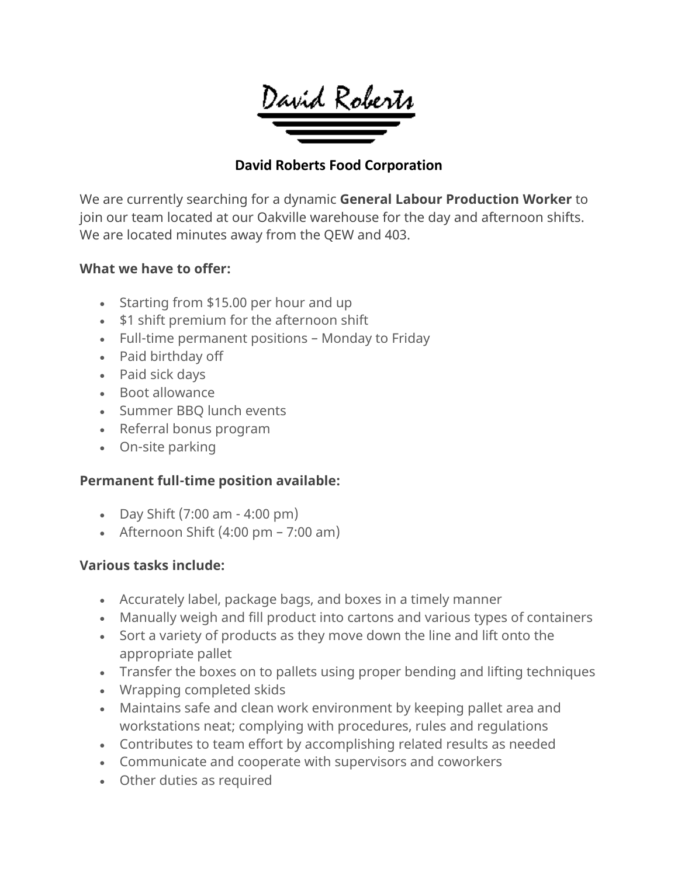

## **David Roberts Food Corporation**

We are currently searching for a dynamic **General Labour Production Worker** to join our team located at our Oakville warehouse for the day and afternoon shifts. We are located minutes away from the QEW and 403.

#### **What we have to offer:**

- Starting from \$15.00 per hour and up
- \$1 shift premium for the afternoon shift
- Full-time permanent positions Monday to Friday
- Paid birthday off
- Paid sick days
- Boot allowance
- Summer BBQ lunch events
- Referral bonus program
- On-site parking

#### **Permanent full-time position available:**

- Day Shift  $(7:00 \text{ am} 4:00 \text{ pm})$
- Afternoon Shift  $(4:00 \text{ pm} 7:00 \text{ am})$

#### **Various tasks include:**

- Accurately label, package bags, and boxes in a timely manner
- Manually weigh and fill product into cartons and various types of containers
- Sort a variety of products as they move down the line and lift onto the appropriate pallet
- Transfer the boxes on to pallets using proper bending and lifting techniques
- Wrapping completed skids
- Maintains safe and clean work environment by keeping pallet area and workstations neat; complying with procedures, rules and regulations
- Contributes to team effort by accomplishing related results as needed
- Communicate and cooperate with supervisors and coworkers
- Other duties as required